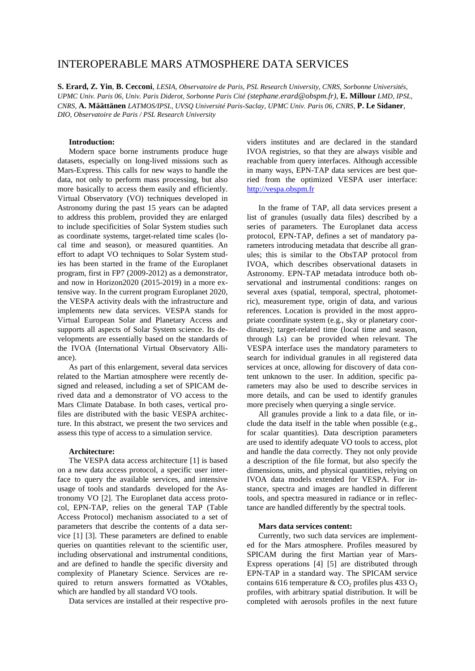# INTEROPERABLE MARS ATMOSPHERE DATA SERVICES

**S. Erard, Z. Yin**, **B. Cecconi**, *LESIA, Observatoire de Paris, PSL Research University, CNRS, Sorbonne Universités, UPMC Univ. Paris 06, Univ. Paris Diderot, Sorbonne Paris Cité [\(stephane.erard@obspm.fr\)](mailto:stephane.erard@obspm.fr)*, **E. Millour** *LMD, IPSL, CNRS,* **A. Määttänen** *LATMOS/IPSL, UVSQ Université Paris-Saclay, UPMC Univ. Paris 06, CNRS,* **P. Le Sidaner**, *DIO, Observatoire de Paris / PSL Research University*

## **Introduction:**

Modern space borne instruments produce huge datasets, especially on long-lived missions such as Mars-Express. This calls for new ways to handle the data, not only to perform mass processing, but also more basically to access them easily and efficiently. Virtual Observatory (VO) techniques developed in Astronomy during the past 15 years can be adapted to address this problem, provided they are enlarged to include specificities of Solar System studies such as coordinate systems, target-related time scales (local time and season), or measured quantities. An effort to adapt VO techniques to Solar System studies has been started in the frame of the Europlanet program, first in FP7 (2009-2012) as a demonstrator, and now in Horizon2020 (2015-2019) in a more extensive way. In the current program Europlanet 2020, the VESPA activity deals with the infrastructure and implements new data services. VESPA stands for Virtual European Solar and Planetary Access and supports all aspects of Solar System science. Its developments are essentially based on the standards of the IVOA (International Virtual Observatory Alliance).

As part of this enlargement, several data services related to the Martian atmosphere were recently designed and released, including a set of SPICAM derived data and a demonstrator of VO access to the Mars Climate Database. In both cases, vertical profiles are distributed with the basic VESPA architecture. In this abstract, we present the two services and assess this type of access to a simulation service.

## **Architecture:**

The VESPA data access architecture [1] is based on a new data access protocol, a specific user interface to query the available services, and intensive usage of tools and standards developed for the Astronomy VO [2]. The Europlanet data access protocol, EPN-TAP, relies on the general TAP (Table Access Protocol) mechanism associated to a set of parameters that describe the contents of a data service [1] [3]. These parameters are defined to enable queries on quantities relevant to the scientific user, including observational and instrumental conditions, and are defined to handle the specific diversity and complexity of Planetary Science. Services are required to return answers formatted as VOtables, which are handled by all standard VO tools.

Data services are installed at their respective pro-

viders institutes and are declared in the standard IVOA registries, so that they are always visible and reachable from query interfaces. Although accessible in many ways, EPN-TAP data services are best queried from the optimized VESPA user interface: [http://vespa.obspm.fr](http://vespa.obspm.fr/)

In the frame of TAP, all data services present a list of granules (usually data files) described by a series of parameters. The Europlanet data access protocol, EPN-TAP, defines a set of mandatory parameters introducing metadata that describe all granules; this is similar to the ObsTAP protocol from IVOA, which describes observational datasets in Astronomy. EPN-TAP metadata introduce both observational and instrumental conditions: ranges on several axes (spatial, temporal, spectral, photometric), measurement type, origin of data, and various references. Location is provided in the most appropriate coordinate system (e.g., sky or planetary coordinates); target-related time (local time and season, through Ls) can be provided when relevant. The VESPA interface uses the mandatory parameters to search for individual granules in all registered data services at once, allowing for discovery of data content unknown to the user. In addition, specific parameters may also be used to describe services in more details, and can be used to identify granules more precisely when querying a single service.

All granules provide a link to a data file, or include the data itself in the table when possible (e.g., for scalar quantities). Data description parameters are used to identify adequate VO tools to access, plot and handle the data correctly. They not only provide a description of the file format, but also specify the dimensions, units, and physical quantities, relying on IVOA data models extended for VESPA. For instance, spectra and images are handled in different tools, and spectra measured in radiance or in reflectance are handled differently by the spectral tools.

# **Mars data services content:**

Currently, two such data services are implemented for the Mars atmosphere. Profiles measured by SPICAM during the first Martian year of Mars-Express operations [4] [5] are distributed through EPN-TAP in a standard way. The SPICAM service contains 616 temperature &  $CO<sub>2</sub>$  profiles plus 433  $O<sub>3</sub>$ profiles, with arbitrary spatial distribution. It will be completed with aerosols profiles in the next future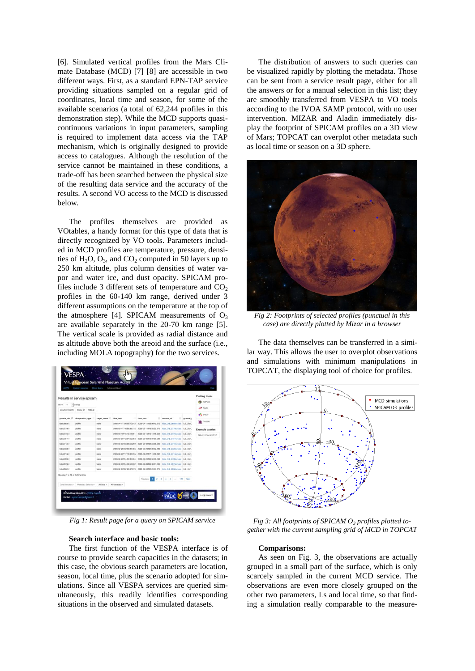[6]. Simulated vertical profiles from the Mars Climate Database (MCD) [7] [8] are accessible in two different ways. First, as a standard EPN-TAP service providing situations sampled on a regular grid of coordinates, local time and season, for some of the available scenarios (a total of 62,244 profiles in this demonstration step). While the MCD supports quasicontinuous variations in input parameters, sampling is required to implement data access via the TAP mechanism, which is originally designed to provide access to catalogues. Although the resolution of the service cannot be maintained in these conditions, a trade-off has been searched between the physical size of the resulting data service and the accuracy of the results. A second VO access to the MCD is discussed below.

The profiles themselves are provided as VOtables, a handy format for this type of data that is directly recognized by VO tools. Parameters included in MCD profiles are temperature, pressure, densities of  $H_2O$ ,  $O_3$ , and  $CO_2$  computed in 50 layers up to 250 km altitude, plus column densities of water vapor and water ice, and dust opacity. SPICAM profiles include 3 different sets of temperature and  $CO<sub>2</sub>$ profiles in the 60-140 km range, derived under 3 different assumptions on the temperature at the top of the atmosphere [4]. SPICAM measurements of  $O_3$ are available separately in the 20-70 km range [5]. The vertical scale is provided as radial distance and as altitude above both the areoid and the surface (i.e., including MOLA topography) for the two services.

| Results in service spicam              |                     |             |                         |                                                                              |                                   |           | <b>D</b> TOPCAT         |  |
|----------------------------------------|---------------------|-------------|-------------------------|------------------------------------------------------------------------------|-----------------------------------|-----------|-------------------------|--|
| Show 10<br>$=$ errities.               |                     |             |                         |                                                                              |                                   |           | all <sup>y</sup> Aladin |  |
| Show all Hide all<br>Column visibility |                     |             |                         |                                                                              |                                   |           |                         |  |
| granule uid IT                         | dataproduct type !! | target name | Ħ<br>time min           | $\mathbb{Z}^*$<br><b>Sime max</b>                                            | access uni<br>и                   | granule c | <b>NA SPLAT</b>         |  |
| totachean1                             | profile             | Mars        |                         | 2006-04-11T06:09:10.912 2006-04-11T06:09:10.912                              | folio Orb 2888A1.and LS 1 km      |           | <b>CASSIS</b>           |  |
| 100x2770A1                             | rentia              | Mars        | 2006-03-11T16:58:33.775 | 2006-03-11T10:50:33.775                                                      | fobs. Orb. 2779A1.asr. L.B.1.km.  |           | <b>Example queries</b>  |  |
| <b>MAN/2776A1</b>                      | profile             | Mars        | 2006-03-10715-12:18.951 | 2006-03-10715:12:18.951                                                      | 53tm Orb 2775A1.asc LB 1 km       |           | Saturn in March 2012    |  |
| tobs2757A1                             | profile.            | Mars        | 2005-03-05T12:07:50.083 | 2006-03-05712:07:00.083                                                      | 500m Orb 2757A1, asc   LS 1 km    |           |                         |  |
| <b>MON274BA1</b>                       | profile             | Mary        | 2006-03-03T03-58:54,269 | 2006-03-00T03:58:56.269                                                      | fobs. Orb. 2748A1.asc   LS 1.km.) |           |                         |  |
| 100x2730A1                             | profile             | Mary        | 2006-02-26T02-03:32.485 |                                                                              |                                   |           |                         |  |
| <b>MANZ718A1</b>                       | teofia              | Mars        | 2006-02-22T17:13:36.735 | 2006-02-22T17:13:36.735 kds. Orb. 2718A1.asc LS.1.km.                        |                                   |           |                         |  |
| <b>MONETTOBA1</b>                      | profile             | Mars        | 2006-02-20104-50:30.084 | 2006-02-20TD4:50:30.094 Mobs Orb 2709A1.est LS 1 km                          |                                   |           |                         |  |
| Miha2670A1                             | profile             | Mare        | 2000-02-09T04:38:51.032 | 2006-02-09T04:38:51.032 Note Ort- 2670AT.amt LS.t.km.                        |                                   |           |                         |  |
| 100ml2662A1                            | zentia              | Mars        |                         | 2006-02-06722-20:07.679 2006-02-06722-20:07.679 fobs Orb 2652A1.asc LS 1 km. |                                   |           |                         |  |

*Fig 1: Result page for a query on SPICAM service*

## **Search interface and basic tools:**

The first function of the VESPA interface is of course to provide search capacities in the datasets; in this case, the obvious search parameters are location, season, local time, plus the scenario adopted for simulations. Since all VESPA services are queried simultaneously, this readily identifies corresponding situations in the observed and simulated datasets.

The distribution of answers to such queries can be visualized rapidly by plotting the metadata. Those can be sent from a service result page, either for all the answers or for a manual selection in this list; they are smoothly transferred from VESPA to VO tools according to the IVOA SAMP protocol, with no user intervention. MIZAR and Aladin immediately display the footprint of SPICAM profiles on a 3D view of Mars; TOPCAT can overplot other metadata such as local time or season on a 3D sphere.



*Fig 2: Footprints of selected profiles (punctual in this case) are directly plotted by Mizar in a browser* 

The data themselves can be transferred in a similar way. This allows the user to overplot observations and simulations with minimum manipulations in TOPCAT, the displaying tool of choice for profiles.



*Fig 3: All footprints of SPICAM O<sup>3</sup> profiles plotted together with the current sampling grid of MCD in TOPCAT*

### **Comparisons:**

As seen on Fig. 3, the observations are actually grouped in a small part of the surface, which is only scarcely sampled in the current MCD service. The observations are even more closely grouped on the other two parameters, Ls and local time, so that finding a simulation really comparable to the measure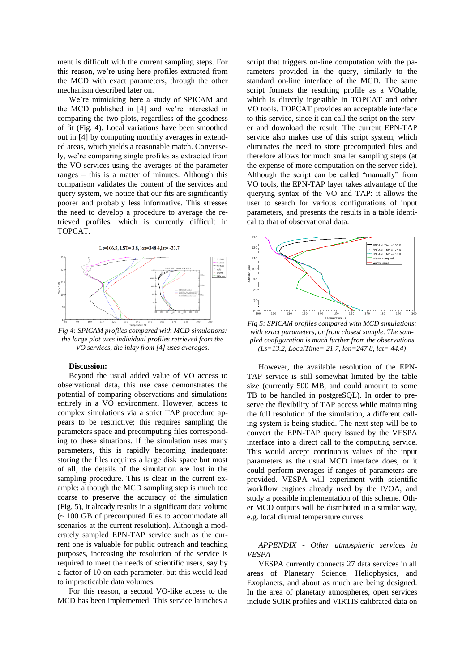ment is difficult with the current sampling steps. For this reason, we're using here profiles extracted from the MCD with exact parameters, through the other mechanism described later on.

We're mimicking here a study of SPICAM and the MCD published in [4] and we're interested in comparing the two plots, regardless of the goodness of fit (Fig. 4). Local variations have been smoothed out in [4] by computing monthly averages in extended areas, which yields a reasonable match. Conversely, we're comparing single profiles as extracted from the VO services using the averages of the parameter ranges – this is a matter of minutes. Although this comparison validates the content of the services and query system, we notice that our fits are significantly poorer and probably less informative. This stresses the need to develop a procedure to average the retrieved profiles, which is currently difficult in TOPCAT.



*Fig 4: SPICAM profiles compared with MCD simulations: the large plot uses individual profiles retrieved from the VO services, the inlay from [4] uses averages.*

### **Discussion:**

Beyond the usual added value of VO access to observational data, this use case demonstrates the potential of comparing observations and simulations entirely in a VO environment. However, access to complex simulations via a strict TAP procedure appears to be restrictive; this requires sampling the parameters space and precomputing files corresponding to these situations. If the simulation uses many parameters, this is rapidly becoming inadequate: storing the files requires a large disk space but most of all, the details of the simulation are lost in the sampling procedure. This is clear in the current example: although the MCD sampling step is much too coarse to preserve the accuracy of the simulation (Fig. 5), it already results in a significant data volume (~ 100 GB of precomputed files to accommodate all scenarios at the current resolution). Although a moderately sampled EPN-TAP service such as the current one is valuable for public outreach and teaching purposes, increasing the resolution of the service is required to meet the needs of scientific users, say by a factor of 10 on each parameter, but this would lead to impracticable data volumes.

For this reason, a second VO-like access to the MCD has been implemented. This service launches a

script that triggers on-line computation with the parameters provided in the query, similarly to the standard on-line interface of the MCD. The same script formats the resulting profile as a VOtable, which is directly ingestible in TOPCAT and other VO tools. TOPCAT provides an acceptable interface to this service, since it can call the script on the server and download the result. The current EPN-TAP service also makes use of this script system, which eliminates the need to store precomputed files and therefore allows for much smaller sampling steps (at the expense of more computation on the server side). Although the script can be called "manually" from VO tools, the EPN-TAP layer takes advantage of the querying syntax of the VO and TAP: it allows the user to search for various configurations of input parameters, and presents the results in a table identical to that of observational data.



*Fig 5: SPICAM profiles compared with MCD simulations: with exact parameters, or from closest sample. The sampled configuration is much further from the observations (Ls=13.2, LocalTime= 21.7, lon=247.8, lat= 44.4)*

However, the available resolution of the EPN-TAP service is still somewhat limited by the table size (currently 500 MB, and could amount to some TB to be handled in postgreSQL). In order to preserve the flexibility of TAP access while maintaining the full resolution of the simulation, a different calling system is being studied. The next step will be to convert the EPN-TAP query issued by the VESPA interface into a direct call to the computing service. This would accept continuous values of the input parameters as the usual MCD interface does, or it could perform averages if ranges of parameters are provided. VESPA will experiment with scientific workflow engines already used by the IVOA, and study a possible implementation of this scheme. Other MCD outputs will be distributed in a similar way, e.g. local diurnal temperature curves.

## *APPENDIX - Other atmospheric services in VESPA*

VESPA currently connects 27 data services in all areas of Planetary Science, Heliophysics, and Exoplanets, and about as much are being designed. In the area of planetary atmospheres, open services include SOIR profiles and VIRTIS calibrated data on